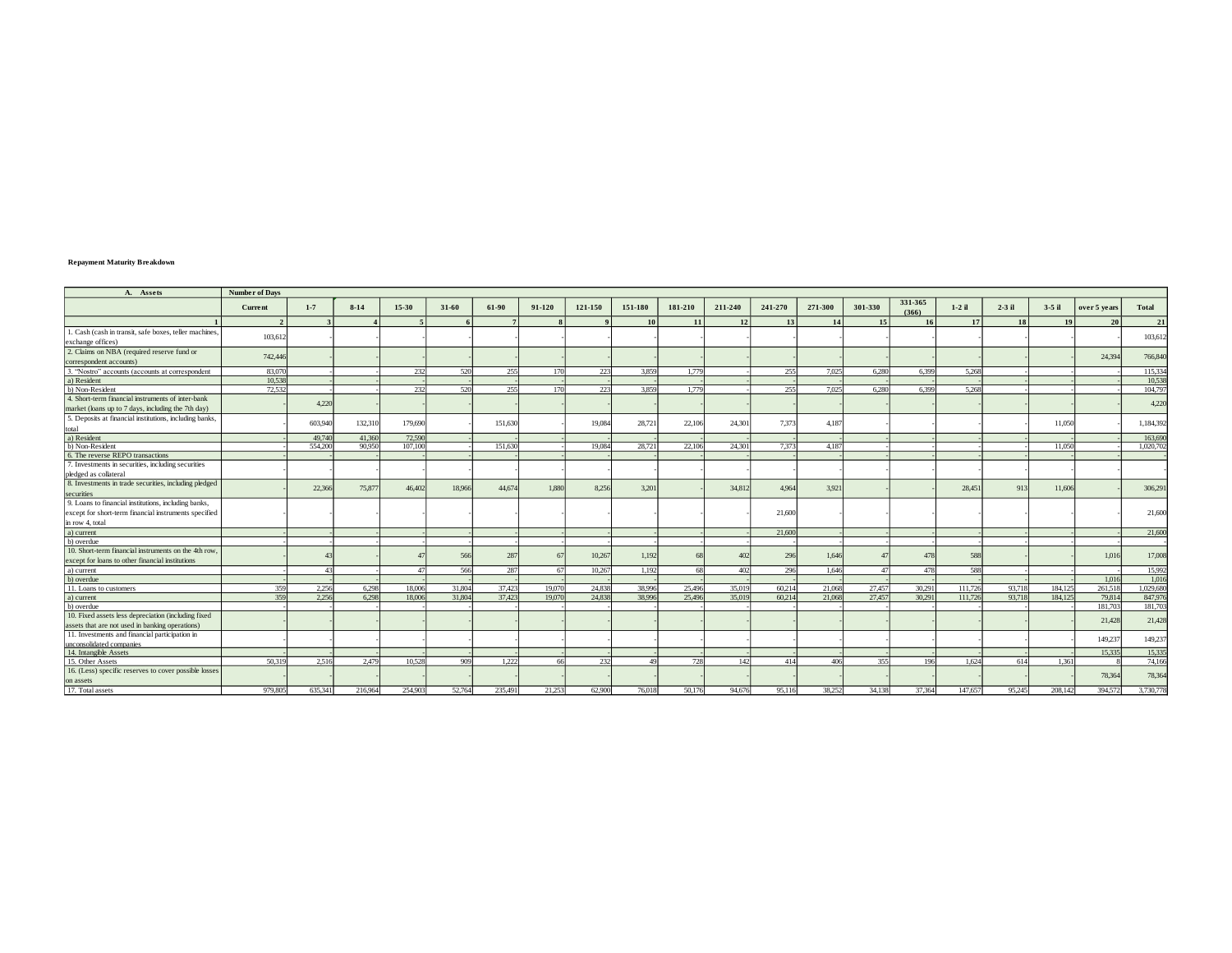## **Repayment Maturity Breakdown**

| A. Assets                                                                   | <b>Number of Days</b> |         |          |                |        |         |        |         |         |         |         |         |         |         |                  |          |          |         |              |          |
|-----------------------------------------------------------------------------|-----------------------|---------|----------|----------------|--------|---------|--------|---------|---------|---------|---------|---------|---------|---------|------------------|----------|----------|---------|--------------|----------|
|                                                                             | Current               | $1 - 7$ | $8 - 14$ | 15-30          | 31-60  | 61-90   | 91-120 | 121-150 | 151-180 | 181-210 | 211-240 | 241-270 | 271-300 | 301-330 | 331-365<br>(366) | $1-2$ il | $2-3$ il | 3-5 il  | over 5 years | Total    |
|                                                                             |                       |         |          |                |        | 7       |        |         | 10      | 11      | 12      | 13      | 14      | 15      | 16               | 17       | 18       | 19      | 20           | 21       |
| 1. Cash (cash in transit, safe boxes, teller machines,<br>exchange offices) | 103,612               |         |          |                |        |         |        |         |         |         |         |         |         |         |                  |          |          |         |              | 103,613  |
| 2. Claims on NBA (required reserve fund or                                  |                       |         |          |                |        |         |        |         |         |         |         |         |         |         |                  |          |          |         |              |          |
| correspondent accounts)                                                     | 742,446               |         |          |                |        |         |        |         |         |         |         |         |         |         |                  |          |          |         | 24,394       | 766,84   |
| 3. "Nostro" accounts (accounts at correspondent                             | 83,070                |         |          | 232            | 520    | 255     | 170    | 223     | 3.859   | 1.779   |         | 255     | 7.025   | 6.280   | 6.399            | 5.268    |          |         |              | 115.33   |
| a) Resident                                                                 | 10.538                |         |          |                |        |         |        |         |         |         |         |         |         |         |                  |          |          |         |              | 10.53    |
| b) Non-Resident                                                             | 72,532                |         |          | 232            | 520    | 255     | 170    | 223     | 3.859   | 1.779   |         | 255     | 7.025   | 6,280   | 6.399            | 5,268    |          |         |              | 104,79   |
| 4. Short-term financial instruments of inter-bank                           |                       |         |          |                |        |         |        |         |         |         |         |         |         |         |                  |          |          |         |              |          |
| market (loans up to 7 days, including the 7th day)                          |                       | 4.220   |          |                |        |         |        |         |         |         |         |         |         |         |                  |          |          |         |              | 4.220    |
| 5. Deposits at financial institutions, including banks,                     |                       |         |          |                |        |         |        |         |         |         |         |         |         |         |                  |          |          |         |              |          |
| total                                                                       |                       | 603,940 | 132,310  | 179,690        |        | 151,630 |        | 19,084  | 28.721  | 22,106  | 24.301  | 7,373   | 4.187   |         |                  |          |          | 11,050  |              | 1,184,39 |
| a) Resident                                                                 |                       | 49,740  | 41,360   | 72,590         |        |         |        |         |         |         |         |         |         |         |                  |          |          |         |              | 163,69   |
| b) Non-Resident                                                             |                       | 554,200 | 90,950   | 107,100        |        | 151,630 |        | 19,084  | 28.721  | 22,106  | 24,301  | 7,373   | 4.18    |         |                  |          |          | 11.050  |              | 1.020.70 |
| 6. The reverse REPO transactions                                            |                       |         |          |                |        |         |        |         |         |         |         |         |         |         |                  |          |          |         |              |          |
| 7. Investments in securities, including securities                          |                       |         |          |                |        |         |        |         |         |         |         |         |         |         |                  |          |          |         |              |          |
| pledged as collateral                                                       |                       |         |          |                |        |         |        |         |         |         |         |         |         |         |                  |          |          |         |              |          |
| 8. Investments in trade securities, including pledged                       |                       | 22,366  | 75.877   | 46,402         | 18,966 | 44,674  | 1.880  | 8.256   | 3.201   |         | 34,812  | 4.964   | 3.921   |         |                  | 28,451   | 913      | 11,606  |              | 306,291  |
| securities                                                                  |                       |         |          |                |        |         |        |         |         |         |         |         |         |         |                  |          |          |         |              |          |
| 9. Loans to financial institutions, including banks,                        |                       |         |          |                |        |         |        |         |         |         |         |         |         |         |                  |          |          |         |              |          |
| except for short-term financial instruments specified                       |                       |         |          |                |        |         |        |         |         |         |         | 21,600  |         |         |                  |          |          |         |              | 21,60    |
| in row 4, total                                                             |                       |         |          |                |        |         |        |         |         |         |         |         |         |         |                  |          |          |         |              |          |
| a) current                                                                  |                       |         |          |                |        |         |        |         |         |         |         | 21,600  |         |         |                  |          |          |         |              | 21,600   |
| b) overdue                                                                  |                       |         |          |                |        |         |        |         |         |         |         |         |         |         |                  |          |          |         |              |          |
| 10. Short-term financial instruments on the 4th row.                        |                       |         |          |                | 566    | 287     | 67     | 10.267  | 1.192   |         | 402     | 296     | 1.646   |         | 478              | 588      |          |         | 1.01         | 17,00    |
| except for loans to other financial institutions                            |                       |         |          |                |        |         |        |         |         |         |         |         |         |         |                  |          |          |         |              |          |
| a) current                                                                  |                       |         |          | A <sub>2</sub> | 566    | 287     | 67     | 10.267  | 1.192   | 68      | 402     | 296     | 1.646   |         | 478              | 588      |          |         |              | 15,992   |
| b) overdue                                                                  |                       |         |          |                |        |         |        |         |         |         |         |         |         |         |                  |          |          |         | 1.016        | 1,01     |
| 11. Loans to customers                                                      | 359                   | 2.256   | 6.298    | 18,006         | 31,804 | 37,423  | 19,070 | 24,838  | 38,996  | 25,496  | 35,019  | 60.214  | 21,068  | 27,457  | 30.291           | 111.726  | 93,718   | 184,125 | 261,518      | 1.029,68 |
| a) current                                                                  | 359                   | 2.256   | 6.298    | 18,006         | 31,804 | 37.423  | 19,070 | 24,838  | 38,996  | 25,496  | 35,019  | 60.214  | 21,068  | 27,457  | 30.291           | 111,726  | 93,718   | 184.125 | 79,814       | 847,97   |
| b) overdue                                                                  |                       |         |          |                |        |         |        |         |         |         |         |         |         |         |                  |          |          |         | 181,703      | 181,70   |
| 10. Fixed assets less depreciation (including fixed                         |                       |         |          |                |        |         |        |         |         |         |         |         |         |         |                  |          |          |         | 21,428       | 21,428   |
| assets that are not used in banking operations)                             |                       |         |          |                |        |         |        |         |         |         |         |         |         |         |                  |          |          |         |              |          |
| 11. Investments and financial participation in                              |                       |         |          |                |        |         |        |         |         |         |         |         |         |         |                  |          |          |         | 149,237      | 149,237  |
| unconsolidated companies                                                    |                       |         |          |                |        |         |        |         |         |         |         |         |         |         |                  |          |          |         |              |          |
| 14. Intangible Assets                                                       |                       |         |          |                |        |         |        |         |         |         |         |         |         |         |                  |          |          |         | 15.335       | 15,335   |
| 15. Other Assets                                                            | 50,319                | 2.516   | 2.479    | 10.528         | 909    | 1.222   | 66     | 232     | 49      | 728     | 142     | 414     | 406     | 355     | 196              | 1.624    | 614      | 1.361   |              | 74,166   |
| 16. (Less) specific reserves to cover possible losses                       |                       |         |          |                |        |         |        |         |         |         |         |         |         |         |                  |          |          |         | 78,364       | 78,364   |
| on assets                                                                   |                       |         |          |                |        |         |        |         |         |         |         |         |         |         |                  |          |          |         |              |          |
| 17. Total assets                                                            | 979,805               | 635.341 | 216,964  | 254,903        | 52,764 | 235,491 | 21.253 | 62.900  | 76,018  | 50.176  | 94,676  | 95.116  | 38.252  | 34.138  | 37.364           | 147,657  | 95.245   | 208.142 | 394,572      | 3,730,77 |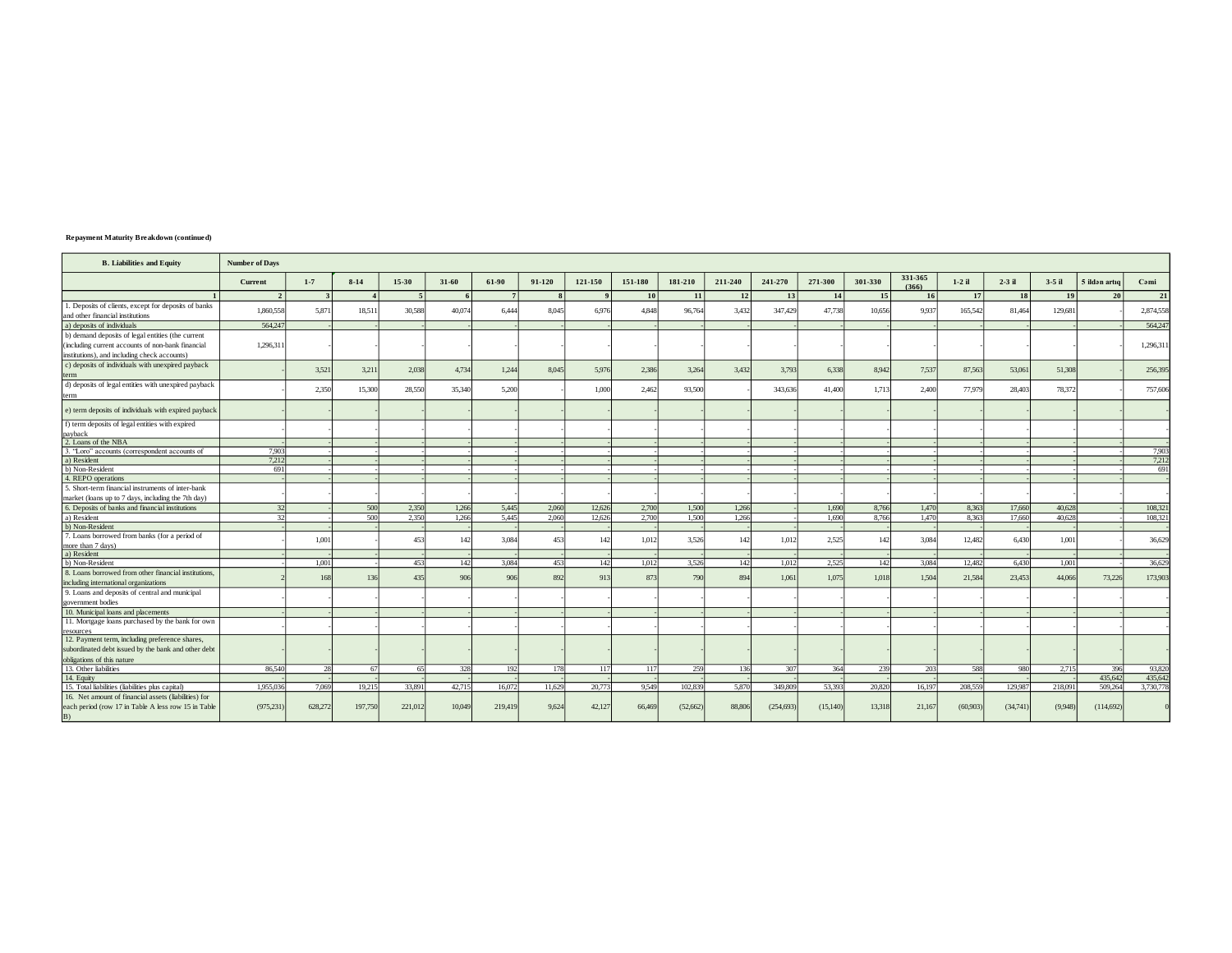| <b>Repayment Maturity Breakdown (continued)</b> |  |  |
|-------------------------------------------------|--|--|
|-------------------------------------------------|--|--|

| <b>B.</b> Liabilities and Equity                                                         | <b>Number of Days</b>    |         |          |                          |        |                 |                       |              |         |           |         |            |           |         |                  |          |           |          |               |           |
|------------------------------------------------------------------------------------------|--------------------------|---------|----------|--------------------------|--------|-----------------|-----------------------|--------------|---------|-----------|---------|------------|-----------|---------|------------------|----------|-----------|----------|---------------|-----------|
|                                                                                          | Current                  | $1 - 7$ | $8 - 14$ | 15-30                    | 31-60  | 61-90           | 91-120                | 121-150      | 151-180 | 181-210   | 211-240 | 241-270    | 271-300   | 301-330 | 331-365<br>(366) | $1-2$ il | $2-3$ il  | $3-5$ il | 5 ildən artıq | Cəmi      |
|                                                                                          | $\overline{\phantom{a}}$ |         |          | $\overline{\phantom{a}}$ |        | $7\phantom{.0}$ | $\mathbf{\mathbf{R}}$ | $\mathbf{0}$ | 10      | <b>11</b> | 12      | 13         | 14        | 15      | <b>16</b>        | 17       | <b>18</b> | 19       | 20            | 21        |
| 1. Deposits of clients, except for deposits of banks<br>and other financial institutions | 1,860,558                | 5,871   | 18,511   | 30,588                   | 40.074 | 6.444           | 8.045                 | 6.976        | 4,848   | 96,764    | 3,432   | 347,429    | 47,738    | 10.656  | 9.937            | 165,542  | 81,464    | 129,681  |               | 2,874,558 |
| a) deposits of individuals                                                               | 564,247                  |         |          |                          |        |                 |                       |              |         |           |         |            |           |         |                  |          |           |          |               | 564,24    |
| b) demand deposits of legal entities (the current                                        |                          |         |          |                          |        |                 |                       |              |         |           |         |            |           |         |                  |          |           |          |               |           |
| (including current accounts of non-bank financial                                        | 1,296,311                |         |          |                          |        |                 |                       |              |         |           |         |            |           |         |                  |          |           |          |               | 1,296,31  |
| institutions), and including check accounts)                                             |                          |         |          |                          |        |                 |                       |              |         |           |         |            |           |         |                  |          |           |          |               |           |
| c) deposits of individuals with unexpired payback                                        |                          |         |          |                          |        |                 |                       |              |         |           |         |            |           |         |                  |          |           |          |               |           |
| term                                                                                     |                          | 3,521   | 3,211    | 2,038                    | 4,734  | 1,244           | 8,045                 | 5,976        | 2,386   | 3,264     | 3,432   | 3,793      | 6,338     | 8,942   | 7,537            | 87,563   | 53,06     | 51,308   |               | 256,39    |
| d) deposits of legal entities with unexpired payback                                     |                          |         |          |                          |        |                 |                       |              |         |           |         |            |           |         |                  |          |           |          |               |           |
| term                                                                                     |                          | 2.350   | 15,300   | 28,550                   | 35,340 | 5,200           |                       | 1,000        | 2.46'   | 93,500    |         | 343,636    | 41,400    | 1,713   | 2,400            | 77,979   | 28,403    | 78.372   |               | 757,60    |
|                                                                                          |                          |         |          |                          |        |                 |                       |              |         |           |         |            |           |         |                  |          |           |          |               |           |
| e) term deposits of individuals with expired payback                                     |                          |         |          |                          |        |                 |                       |              |         |           |         |            |           |         |                  |          |           |          |               |           |
| f) term deposits of legal entities with expired                                          |                          |         |          |                          |        |                 |                       |              |         |           |         |            |           |         |                  |          |           |          |               |           |
| payback                                                                                  |                          |         |          |                          |        |                 |                       |              |         |           |         |            |           |         |                  |          |           |          |               |           |
| 2. Loans of the NBA<br>3. "Loro" accounts (correspondent accounts of                     | 7.903                    |         |          |                          |        |                 |                       |              |         |           |         |            |           |         |                  |          |           |          |               | 7,903     |
| a) Resident                                                                              | 7.212                    |         |          |                          |        |                 |                       |              |         |           |         |            |           |         |                  |          |           |          |               | 7,212     |
| b) Non-Resident                                                                          | 691                      |         |          |                          |        |                 |                       |              |         |           |         |            |           |         |                  |          |           |          |               | 691       |
| 4. REPO operations                                                                       |                          |         |          |                          |        |                 |                       |              |         |           |         |            |           |         |                  |          |           |          |               |           |
| 5. Short-term financial instruments of inter-bank                                        |                          |         |          |                          |        |                 |                       |              |         |           |         |            |           |         |                  |          |           |          |               |           |
| market (loans up to 7 days, including the 7th day)                                       |                          |         |          |                          |        |                 |                       |              |         |           |         |            |           |         |                  |          |           |          |               |           |
| 6. Deposits of banks and financial institutions                                          | 32.                      |         | 500      | 2,350                    | 1,266  | 5,445           | 2.060                 | 12,626       | 2,700   | 1,500     | 1,266   |            | 1,690     | 8,766   | 1,470            | 8,363    | 17,660    | 40,628   |               | 108,32    |
| a) Resident                                                                              | 32                       |         | 500      | 2.350                    | 1.266  | 5.445           | 2.060                 | 12,626       | 2.700   | 1.500     | 1.266   |            | 1.690     | 8.766   | 1,470            | 8.363    | 17.660    | 40.628   |               | 108,32    |
| b) Non-Resident                                                                          |                          |         |          |                          |        |                 |                       |              |         |           |         |            |           |         |                  |          |           |          |               |           |
| 7. Loans borrowed from banks (for a period of                                            |                          |         |          |                          |        |                 |                       |              |         |           |         |            |           |         |                  |          |           |          |               |           |
| more than 7 days)                                                                        |                          | 1.001   |          | 453                      | 142    | 3.084           | 453                   | 142          | 1,012   | 3,526     | 142     | 1,012      | 2,525     | 142     | 3,084            | 12,482   | 6,430     | 1.001    |               | 36,62     |
| a) Resident                                                                              |                          |         |          |                          |        |                 |                       |              |         |           |         |            |           |         |                  |          |           |          |               |           |
| b) Non-Resident                                                                          |                          | 1.001   |          | 453                      | 142    | 3.084           | 453                   | 142          | 1.012   | 3.526     | 142     | 1.012      | 2.525     | 142     | 3.084            | 12.482   | 6.430     | 1.001    |               | 36,629    |
| 8. Loans borrowed from other financial institutions.                                     |                          | 168     |          |                          | 906    | 906             |                       |              | 87      |           | 894     |            | 1.075     |         |                  |          |           |          |               | 173,903   |
| including international organizations                                                    |                          |         | 136      | 435                      |        |                 | 892                   | 913          |         | 790       |         | 1.061      |           | 1.018   | 1.504            | 21.584   | 23,453    | 44,066   | 73,226        |           |
| 9. Loans and deposits of central and municipal                                           |                          |         |          |                          |        |                 |                       |              |         |           |         |            |           |         |                  |          |           |          |               |           |
| government bodies                                                                        |                          |         |          |                          |        |                 |                       |              |         |           |         |            |           |         |                  |          |           |          |               |           |
| 10. Municipal loans and placements                                                       |                          |         |          |                          |        |                 |                       |              |         |           |         |            |           |         |                  |          |           |          |               |           |
| 11. Mortgage loans purchased by the bank for own                                         |                          |         |          |                          |        |                 |                       |              |         |           |         |            |           |         |                  |          |           |          |               |           |
| resources                                                                                |                          |         |          |                          |        |                 |                       |              |         |           |         |            |           |         |                  |          |           |          |               |           |
| 12. Payment term, including preference shares,                                           |                          |         |          |                          |        |                 |                       |              |         |           |         |            |           |         |                  |          |           |          |               |           |
| subordinated debt issued by the bank and other debt                                      |                          |         |          |                          |        |                 |                       |              |         |           |         |            |           |         |                  |          |           |          |               |           |
| obligations of this nature                                                               |                          |         |          |                          |        |                 |                       |              |         |           |         |            |           |         |                  |          |           |          |               |           |
| 13. Other liabilities                                                                    | 86,540                   | 28      | 67       | 65                       | 328    | 192             | 178                   | 117          | 11'     | 259       | 136     | 307        | 364       | 239     | 203              | 588      | 980       | 2.715    | 396           | 93,820    |
| 14. Equity                                                                               |                          |         |          |                          |        |                 |                       |              |         |           |         |            |           |         |                  |          |           |          | 435,642       | 435,642   |
| 15. Total liabilities (liabilities plus capital)                                         | 1,955,036                | 7.069   | 19.215   | 33.891                   | 42.715 | 16,072          | 11.629                | 20,773       | 9.549   | 102.839   | 5,870   | 349,809    | 53,393    | 20.820  | 16.197           | 208.559  | 129.987   | 218,091  | 509.264       | 3,730,77  |
| 16. Net amount of financial assets (liabilities) for                                     |                          |         |          |                          |        |                 |                       |              |         |           |         |            |           |         |                  |          |           |          |               |           |
| each period (row 17 in Table A less row 15 in Table<br>B)                                | (975, 231)               | 628.272 | 197,750  | 221.012                  | 10.049 | 219,419         | 9.624                 | 42,127       | 66,469  | (52, 662) | 88,806  | (254, 693) | (15, 140) | 13.318  | 21.167           | (60.903) | (34,741)  | (9.948)  | (114, 692)    |           |